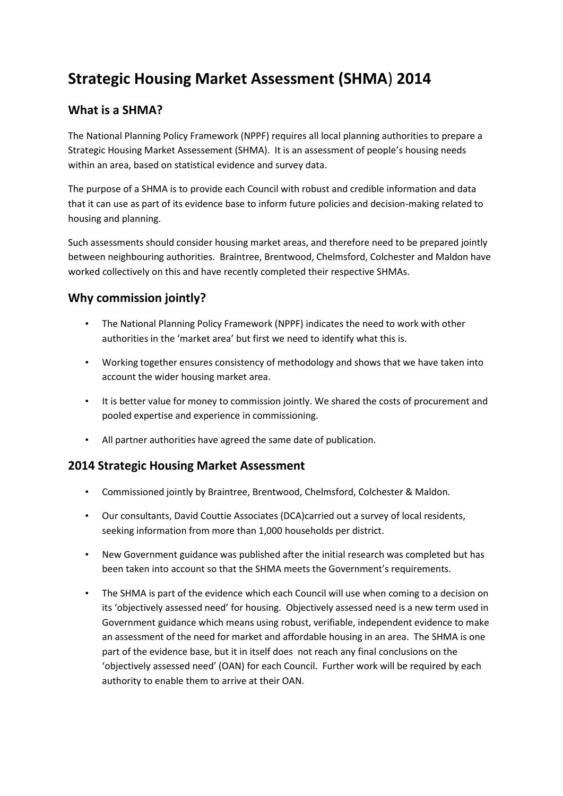# **Strategic Housing Market Assessment (SHMA**) **2014**

#### **What is a SHMA?**

The National Planning Policy Framework (NPPF) requires all local planning authorities to prepare a Strategic Housing Market Assessement (SHMA). It is an assessment of people's housing needs within an area, based on statistical evidence and survey data.

The purpose of a SHMA is to provide each Council with robust and credible information and data that it can use as part of its evidence base to inform future policies and decision-making related to housing and planning.

Such assessments should consider housing market areas, and therefore need to be prepared jointly between neighbouring authorities. Braintree, Brentwood, Chelmsford, Colchester and Maldon have worked collectively on this and have recently completed their respective SHMAs.

## **Why commission jointly?**

- The National Planning Policy Framework (NPPF) indicates the need to work with other authorities in the 'market area' but first we need to identify what this is.
- Working together ensures consistency of methodology and shows that we have taken into account the wider housing market area.
- It is better value for money to commission jointly. We shared the costs of procurement and pooled expertise and experience in commissioning.
- All partner authorities have agreed the same date of publication.

#### **2014 Strategic Housing Market Assessment**

- Commissioned jointly by Braintree, Brentwood, Chelmsford, Colchester & Maldon.
- Our consultants, David Couttie Associates (DCA)carried out a survey of local residents, seeking information from more than 1,000 households per district.
- New Government guidance was published after the initial research was completed but has been taken into account so that the SHMA meets the Government's requirements.
- The SHMA is part of the evidence which each Council will use when coming to a decision on its 'objectively assessed need' for housing. Objectively assessed need is a new term used in Government guidance which means using robust, verifiable, independent evidence to make an assessment of the need for market and affordable housing in an area. The SHMA is one part of the evidence base, but it in itself does not reach any final conclusions on the 'objectively assessed need' (OAN) for each Council. Further work will be required by each authority to enable them to arrive at their OAN.